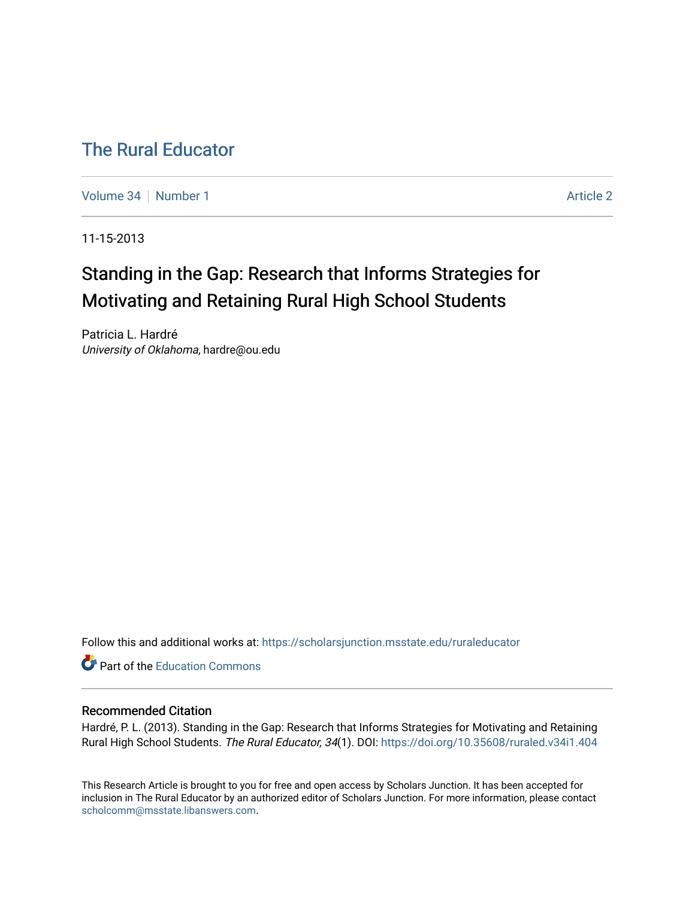## [The Rural Educator](https://scholarsjunction.msstate.edu/ruraleducator)

[Volume 34](https://scholarsjunction.msstate.edu/ruraleducator/vol34) | [Number 1](https://scholarsjunction.msstate.edu/ruraleducator/vol34/iss1) [Article 2](https://scholarsjunction.msstate.edu/ruraleducator/vol34/iss1/2) Article 2 Article 2 Article 2 Article 2 Article 2 Article 2 Article 2

11-15-2013

# Standing in the Gap: Research that Informs Strategies for Motivating and Retaining Rural High School Students

Patricia L. Hardré University of Oklahoma, hardre@ou.edu

Follow this and additional works at: [https://scholarsjunction.msstate.edu/ruraleducator](https://scholarsjunction.msstate.edu/ruraleducator?utm_source=scholarsjunction.msstate.edu%2Fruraleducator%2Fvol34%2Fiss1%2F2&utm_medium=PDF&utm_campaign=PDFCoverPages)

**C** Part of the [Education Commons](http://network.bepress.com/hgg/discipline/784?utm_source=scholarsjunction.msstate.edu%2Fruraleducator%2Fvol34%2Fiss1%2F2&utm_medium=PDF&utm_campaign=PDFCoverPages)

#### Recommended Citation

Hardré, P. L. (2013). Standing in the Gap: Research that Informs Strategies for Motivating and Retaining Rural High School Students. The Rural Educator, 34(1). DOI: <https://doi.org/10.35608/ruraled.v34i1.404>

This Research Article is brought to you for free and open access by Scholars Junction. It has been accepted for inclusion in The Rural Educator by an authorized editor of Scholars Junction. For more information, please contact [scholcomm@msstate.libanswers.com.](mailto:scholcomm@msstate.libanswers.com)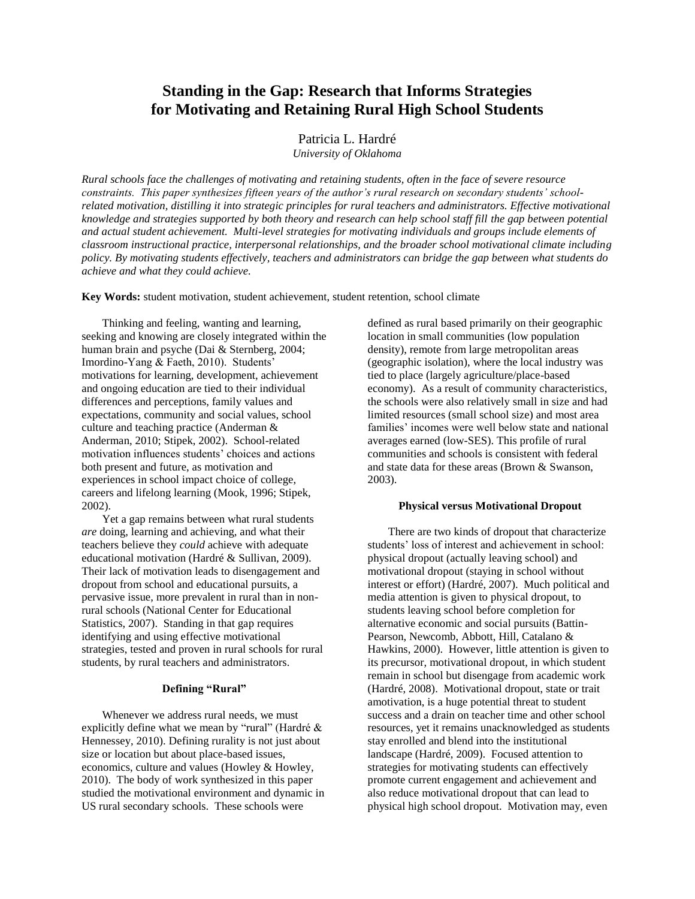### **Standing in the Gap: Research that Informs Strategies for Motivating and Retaining Rural High School Students**

Patricia L. Hardré

*University of Oklahoma*

*Rural schools face the challenges of motivating and retaining students, often in the face of severe resource constraints. This paper synthesizes fifteen years of the author's rural research on secondary students' schoolrelated motivation, distilling it into strategic principles for rural teachers and administrators. Effective motivational knowledge and strategies supported by both theory and research can help school staff fill the gap between potential and actual student achievement. Multi-level strategies for motivating individuals and groups include elements of classroom instructional practice, interpersonal relationships, and the broader school motivational climate including policy. By motivating students effectively, teachers and administrators can bridge the gap between what students do achieve and what they could achieve.* 

**Key Words:** student motivation, student achievement, student retention, school climate

Thinking and feeling, wanting and learning, seeking and knowing are closely integrated within the human brain and psyche (Dai & Sternberg, 2004; Imordino-Yang & Faeth, 2010). Students' motivations for learning, development, achievement and ongoing education are tied to their individual differences and perceptions, family values and expectations, community and social values, school culture and teaching practice (Anderman & Anderman, 2010; Stipek, 2002). School-related motivation influences students' choices and actions both present and future, as motivation and experiences in school impact choice of college, careers and lifelong learning (Mook, 1996; Stipek, 2002).

Yet a gap remains between what rural students *are* doing, learning and achieving, and what their teachers believe they *could* achieve with adequate educational motivation (Hardré & Sullivan, 2009). Their lack of motivation leads to disengagement and dropout from school and educational pursuits, a pervasive issue, more prevalent in rural than in nonrural schools (National Center for Educational Statistics, 2007). Standing in that gap requires identifying and using effective motivational strategies, tested and proven in rural schools for rural students, by rural teachers and administrators.

#### **Defining "Rural"**

Whenever we address rural needs, we must explicitly define what we mean by "rural" (Hardré & Hennessey, 2010). Defining rurality is not just about size or location but about place-based issues, economics, culture and values (Howley & Howley, 2010). The body of work synthesized in this paper studied the motivational environment and dynamic in US rural secondary schools. These schools were

defined as rural based primarily on their geographic location in small communities (low population density), remote from large metropolitan areas (geographic isolation), where the local industry was tied to place (largely agriculture/place-based economy). As a result of community characteristics, the schools were also relatively small in size and had limited resources (small school size) and most area families' incomes were well below state and national averages earned (low-SES). This profile of rural communities and schools is consistent with federal and state data for these areas (Brown & Swanson, 2003).

#### **Physical versus Motivational Dropout**

There are two kinds of dropout that characterize students' loss of interest and achievement in school: physical dropout (actually leaving school) and motivational dropout (staying in school without interest or effort) (Hardré, 2007). Much political and media attention is given to physical dropout, to students leaving school before completion for alternative economic and social pursuits (Battin-Pearson, Newcomb, Abbott, Hill, Catalano & Hawkins, 2000). However, little attention is given to its precursor, motivational dropout, in which student remain in school but disengage from academic work (Hardré, 2008). Motivational dropout, state or trait amotivation, is a huge potential threat to student success and a drain on teacher time and other school resources, yet it remains unacknowledged as students stay enrolled and blend into the institutional landscape (Hardré, 2009). Focused attention to strategies for motivating students can effectively promote current engagement and achievement and also reduce motivational dropout that can lead to physical high school dropout. Motivation may, even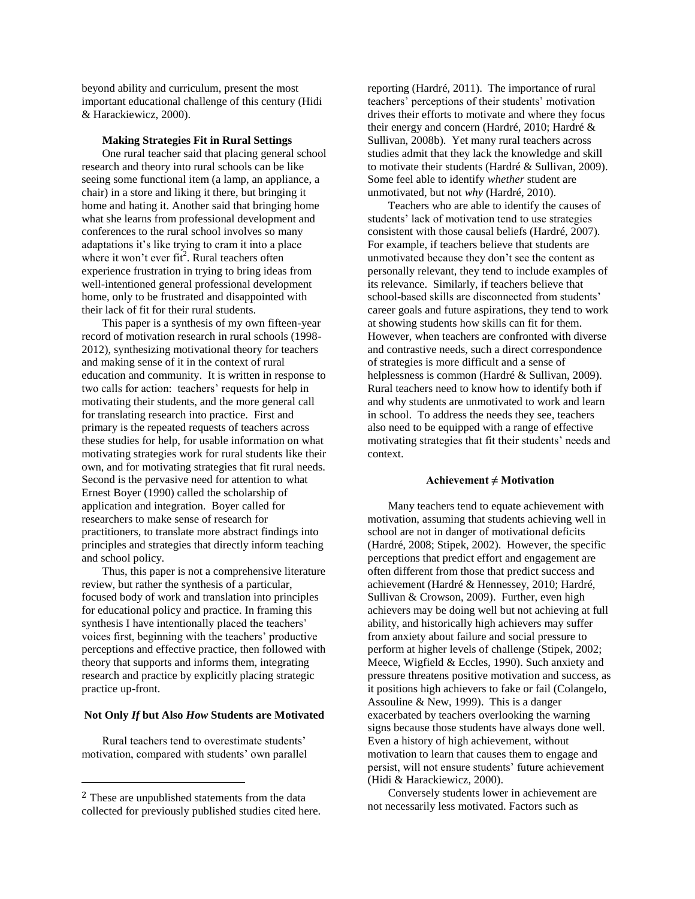beyond ability and curriculum, present the most important educational challenge of this century (Hidi & Harackiewicz, 2000).

#### **Making Strategies Fit in Rural Settings**

One rural teacher said that placing general school research and theory into rural schools can be like seeing some functional item (a lamp, an appliance, a chair) in a store and liking it there, but bringing it home and hating it. Another said that bringing home what she learns from professional development and conferences to the rural school involves so many adaptations it's like trying to cram it into a place where it won't ever fit<sup>2</sup>. Rural teachers often experience frustration in trying to bring ideas from well-intentioned general professional development home, only to be frustrated and disappointed with their lack of fit for their rural students.

This paper is a synthesis of my own fifteen-year record of motivation research in rural schools (1998- 2012), synthesizing motivational theory for teachers and making sense of it in the context of rural education and community. It is written in response to two calls for action: teachers' requests for help in motivating their students, and the more general call for translating research into practice. First and primary is the repeated requests of teachers across these studies for help, for usable information on what motivating strategies work for rural students like their own, and for motivating strategies that fit rural needs. Second is the pervasive need for attention to what Ernest Boyer (1990) called the scholarship of application and integration. Boyer called for researchers to make sense of research for practitioners, to translate more abstract findings into principles and strategies that directly inform teaching and school policy.

Thus, this paper is not a comprehensive literature review, but rather the synthesis of a particular, focused body of work and translation into principles for educational policy and practice. In framing this synthesis I have intentionally placed the teachers' voices first, beginning with the teachers' productive perceptions and effective practice, then followed with theory that supports and informs them, integrating research and practice by explicitly placing strategic practice up-front.

#### **Not Only** *If* **but Also** *How* **Students are Motivated**

Rural teachers tend to overestimate students' motivation, compared with students' own parallel

 $\overline{a}$ 

reporting (Hardré, 2011). The importance of rural teachers' perceptions of their students' motivation drives their efforts to motivate and where they focus their energy and concern (Hardré, 2010; Hardré & Sullivan, 2008b). Yet many rural teachers across studies admit that they lack the knowledge and skill to motivate their students (Hardré & Sullivan, 2009). Some feel able to identify *whether* student are unmotivated, but not *why* (Hardré, 2010).

Teachers who are able to identify the causes of students' lack of motivation tend to use strategies consistent with those causal beliefs (Hardré, 2007). For example, if teachers believe that students are unmotivated because they don't see the content as personally relevant, they tend to include examples of its relevance. Similarly, if teachers believe that school-based skills are disconnected from students' career goals and future aspirations, they tend to work at showing students how skills can fit for them. However, when teachers are confronted with diverse and contrastive needs, such a direct correspondence of strategies is more difficult and a sense of helplessness is common (Hardré & Sullivan, 2009). Rural teachers need to know how to identify both if and why students are unmotivated to work and learn in school. To address the needs they see, teachers also need to be equipped with a range of effective motivating strategies that fit their students' needs and context.

#### **Achievement ≠ Motivation**

Many teachers tend to equate achievement with motivation, assuming that students achieving well in school are not in danger of motivational deficits (Hardré, 2008; Stipek, 2002). However, the specific perceptions that predict effort and engagement are often different from those that predict success and achievement (Hardré & Hennessey, 2010; Hardré, Sullivan & Crowson, 2009). Further, even high achievers may be doing well but not achieving at full ability, and historically high achievers may suffer from anxiety about failure and social pressure to perform at higher levels of challenge (Stipek, 2002; Meece, Wigfield & Eccles, 1990). Such anxiety and pressure threatens positive motivation and success, as it positions high achievers to fake or fail (Colangelo, Assouline & New, 1999). This is a danger exacerbated by teachers overlooking the warning signs because those students have always done well. Even a history of high achievement, without motivation to learn that causes them to engage and persist, will not ensure students' future achievement (Hidi & Harackiewicz, 2000).

Conversely students lower in achievement are not necessarily less motivated. Factors such as

<sup>2</sup> These are unpublished statements from the data collected for previously published studies cited here.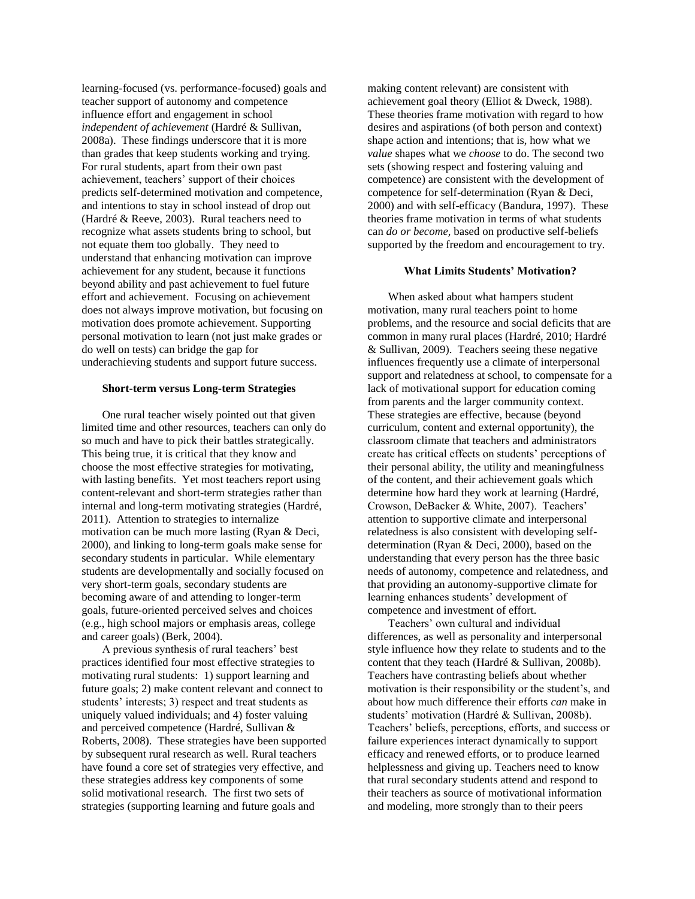learning-focused (vs. performance-focused) goals and teacher support of autonomy and competence influence effort and engagement in school *independent of achievement* (Hardré & Sullivan, 2008a). These findings underscore that it is more than grades that keep students working and trying. For rural students, apart from their own past achievement, teachers' support of their choices predicts self-determined motivation and competence, and intentions to stay in school instead of drop out (Hardré & Reeve, 2003). Rural teachers need to recognize what assets students bring to school, but not equate them too globally. They need to understand that enhancing motivation can improve achievement for any student, because it functions beyond ability and past achievement to fuel future effort and achievement. Focusing on achievement does not always improve motivation, but focusing on motivation does promote achievement. Supporting personal motivation to learn (not just make grades or do well on tests) can bridge the gap for underachieving students and support future success.

#### **Short-term versus Long-term Strategies**

One rural teacher wisely pointed out that given limited time and other resources, teachers can only do so much and have to pick their battles strategically. This being true, it is critical that they know and choose the most effective strategies for motivating, with lasting benefits. Yet most teachers report using content-relevant and short-term strategies rather than internal and long-term motivating strategies (Hardré, 2011). Attention to strategies to internalize motivation can be much more lasting (Ryan & Deci, 2000), and linking to long-term goals make sense for secondary students in particular. While elementary students are developmentally and socially focused on very short-term goals, secondary students are becoming aware of and attending to longer-term goals, future-oriented perceived selves and choices (e.g., high school majors or emphasis areas, college and career goals) (Berk, 2004).

A previous synthesis of rural teachers' best practices identified four most effective strategies to motivating rural students: 1) support learning and future goals; 2) make content relevant and connect to students' interests; 3) respect and treat students as uniquely valued individuals; and 4) foster valuing and perceived competence (Hardré, Sullivan & Roberts, 2008). These strategies have been supported by subsequent rural research as well. Rural teachers have found a core set of strategies very effective, and these strategies address key components of some solid motivational research. The first two sets of strategies (supporting learning and future goals and

making content relevant) are consistent with achievement goal theory (Elliot & Dweck, 1988). These theories frame motivation with regard to how desires and aspirations (of both person and context) shape action and intentions; that is, how what we *value* shapes what we *choose* to do. The second two sets (showing respect and fostering valuing and competence) are consistent with the development of competence for self-determination (Ryan & Deci, 2000) and with self-efficacy (Bandura, 1997). These theories frame motivation in terms of what students can *do or become,* based on productive self-beliefs supported by the freedom and encouragement to try.

#### **What Limits Students' Motivation?**

When asked about what hampers student motivation, many rural teachers point to home problems, and the resource and social deficits that are common in many rural places (Hardré, 2010; Hardré & Sullivan, 2009). Teachers seeing these negative influences frequently use a climate of interpersonal support and relatedness at school, to compensate for a lack of motivational support for education coming from parents and the larger community context. These strategies are effective, because (beyond curriculum, content and external opportunity), the classroom climate that teachers and administrators create has critical effects on students' perceptions of their personal ability, the utility and meaningfulness of the content, and their achievement goals which determine how hard they work at learning (Hardré, Crowson, DeBacker & White, 2007). Teachers' attention to supportive climate and interpersonal relatedness is also consistent with developing selfdetermination (Ryan & Deci, 2000), based on the understanding that every person has the three basic needs of autonomy, competence and relatedness, and that providing an autonomy-supportive climate for learning enhances students' development of competence and investment of effort.

Teachers' own cultural and individual differences, as well as personality and interpersonal style influence how they relate to students and to the content that they teach (Hardré & Sullivan, 2008b). Teachers have contrasting beliefs about whether motivation is their responsibility or the student's, and about how much difference their efforts *can* make in students' motivation (Hardré & Sullivan, 2008b). Teachers' beliefs, perceptions, efforts, and success or failure experiences interact dynamically to support efficacy and renewed efforts, or to produce learned helplessness and giving up. Teachers need to know that rural secondary students attend and respond to their teachers as source of motivational information and modeling, more strongly than to their peers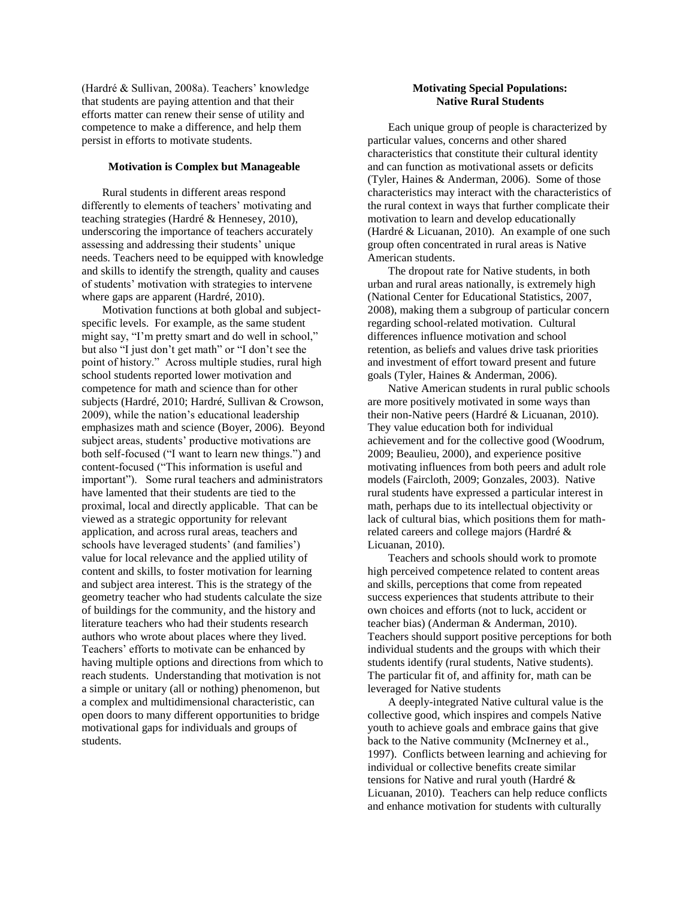(Hardré & Sullivan, 2008a). Teachers' knowledge that students are paying attention and that their efforts matter can renew their sense of utility and competence to make a difference, and help them persist in efforts to motivate students.

#### **Motivation is Complex but Manageable**

Rural students in different areas respond differently to elements of teachers' motivating and teaching strategies (Hardré & Hennesey, 2010), underscoring the importance of teachers accurately assessing and addressing their students' unique needs. Teachers need to be equipped with knowledge and skills to identify the strength, quality and causes of students' motivation with strategies to intervene where gaps are apparent (Hardré, 2010).

Motivation functions at both global and subjectspecific levels. For example, as the same student might say, "I'm pretty smart and do well in school," but also "I just don't get math" or "I don't see the point of history." Across multiple studies, rural high school students reported lower motivation and competence for math and science than for other subjects (Hardré, 2010; Hardré, Sullivan & Crowson, 2009), while the nation's educational leadership emphasizes math and science (Boyer, 2006). Beyond subject areas, students' productive motivations are both self-focused ("I want to learn new things.") and content-focused ("This information is useful and important"). Some rural teachers and administrators have lamented that their students are tied to the proximal, local and directly applicable. That can be viewed as a strategic opportunity for relevant application, and across rural areas, teachers and schools have leveraged students' (and families') value for local relevance and the applied utility of content and skills, to foster motivation for learning and subject area interest. This is the strategy of the geometry teacher who had students calculate the size of buildings for the community, and the history and literature teachers who had their students research authors who wrote about places where they lived. Teachers' efforts to motivate can be enhanced by having multiple options and directions from which to reach students. Understanding that motivation is not a simple or unitary (all or nothing) phenomenon, but a complex and multidimensional characteristic, can open doors to many different opportunities to bridge motivational gaps for individuals and groups of students.

#### **Motivating Special Populations: Native Rural Students**

Each unique group of people is characterized by particular values, concerns and other shared characteristics that constitute their cultural identity and can function as motivational assets or deficits (Tyler, Haines & Anderman, 2006). Some of those characteristics may interact with the characteristics of the rural context in ways that further complicate their motivation to learn and develop educationally (Hardré & Licuanan, 2010). An example of one such group often concentrated in rural areas is Native American students.

The dropout rate for Native students, in both urban and rural areas nationally, is extremely high (National Center for Educational Statistics, 2007, 2008), making them a subgroup of particular concern regarding school-related motivation. Cultural differences influence motivation and school retention, as beliefs and values drive task priorities and investment of effort toward present and future goals (Tyler, Haines & Anderman, 2006).

Native American students in rural public schools are more positively motivated in some ways than their non-Native peers (Hardré & Licuanan, 2010). They value education both for individual achievement and for the collective good (Woodrum, 2009; Beaulieu, 2000), and experience positive motivating influences from both peers and adult role models (Faircloth, 2009; Gonzales, 2003). Native rural students have expressed a particular interest in math, perhaps due to its intellectual objectivity or lack of cultural bias, which positions them for mathrelated careers and college majors (Hardré & Licuanan, 2010).

Teachers and schools should work to promote high perceived competence related to content areas and skills, perceptions that come from repeated success experiences that students attribute to their own choices and efforts (not to luck, accident or teacher bias) (Anderman & Anderman, 2010). Teachers should support positive perceptions for both individual students and the groups with which their students identify (rural students, Native students). The particular fit of, and affinity for, math can be leveraged for Native students

A deeply-integrated Native cultural value is the collective good, which inspires and compels Native youth to achieve goals and embrace gains that give back to the Native community (McInerney et al., 1997). Conflicts between learning and achieving for individual or collective benefits create similar tensions for Native and rural youth (Hardré & Licuanan, 2010). Teachers can help reduce conflicts and enhance motivation for students with culturally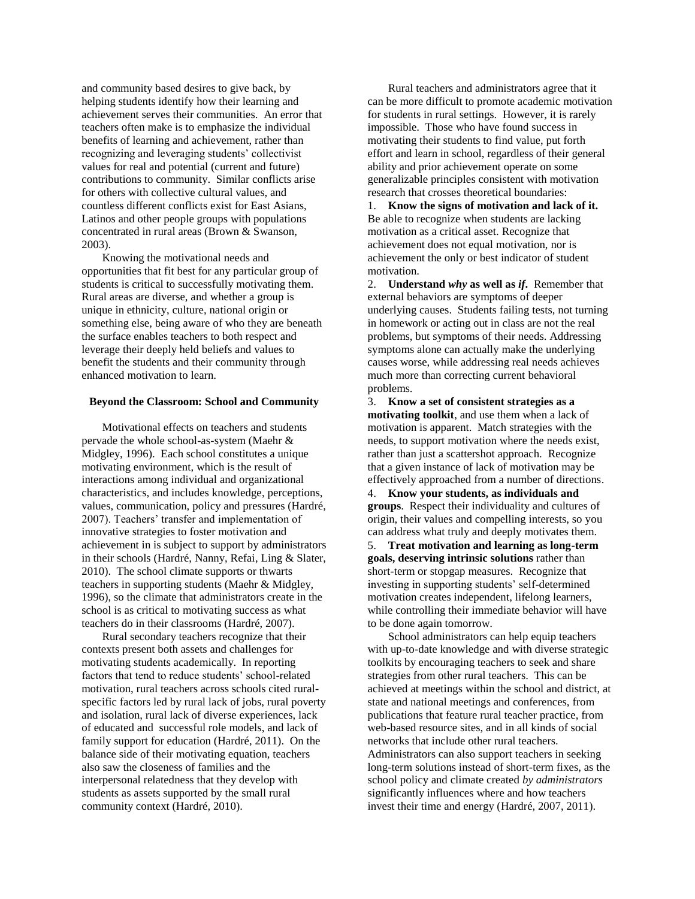and community based desires to give back, by helping students identify how their learning and achievement serves their communities. An error that teachers often make is to emphasize the individual benefits of learning and achievement, rather than recognizing and leveraging students' collectivist values for real and potential (current and future) contributions to community. Similar conflicts arise for others with collective cultural values, and countless different conflicts exist for East Asians, Latinos and other people groups with populations concentrated in rural areas (Brown & Swanson, 2003).

Knowing the motivational needs and opportunities that fit best for any particular group of students is critical to successfully motivating them. Rural areas are diverse, and whether a group is unique in ethnicity, culture, national origin or something else, being aware of who they are beneath the surface enables teachers to both respect and leverage their deeply held beliefs and values to benefit the students and their community through enhanced motivation to learn.

#### **Beyond the Classroom: School and Community**

Motivational effects on teachers and students pervade the whole school-as-system (Maehr & Midgley, 1996). Each school constitutes a unique motivating environment, which is the result of interactions among individual and organizational characteristics, and includes knowledge, perceptions, values, communication, policy and pressures (Hardré, 2007). Teachers' transfer and implementation of innovative strategies to foster motivation and achievement in is subject to support by administrators in their schools (Hardré, Nanny, Refai, Ling & Slater, 2010). The school climate supports or thwarts teachers in supporting students (Maehr & Midgley, 1996), so the climate that administrators create in the school is as critical to motivating success as what teachers do in their classrooms (Hardré, 2007).

Rural secondary teachers recognize that their contexts present both assets and challenges for motivating students academically. In reporting factors that tend to reduce students' school-related motivation, rural teachers across schools cited ruralspecific factors led by rural lack of jobs, rural poverty and isolation, rural lack of diverse experiences, lack of educated and successful role models, and lack of family support for education (Hardré, 2011). On the balance side of their motivating equation, teachers also saw the closeness of families and the interpersonal relatedness that they develop with students as assets supported by the small rural community context (Hardré, 2010).

Rural teachers and administrators agree that it can be more difficult to promote academic motivation for students in rural settings. However, it is rarely impossible. Those who have found success in motivating their students to find value, put forth effort and learn in school, regardless of their general ability and prior achievement operate on some generalizable principles consistent with motivation research that crosses theoretical boundaries:

1. **Know the signs of motivation and lack of it.** Be able to recognize when students are lacking motivation as a critical asset. Recognize that achievement does not equal motivation, nor is achievement the only or best indicator of student motivation.

2. **Understand** *why* **as well as** *if***.** Remember that external behaviors are symptoms of deeper underlying causes. Students failing tests, not turning in homework or acting out in class are not the real problems, but symptoms of their needs. Addressing symptoms alone can actually make the underlying causes worse, while addressing real needs achieves much more than correcting current behavioral problems.

3. **Know a set of consistent strategies as a motivating toolkit**, and use them when a lack of motivation is apparent. Match strategies with the needs, to support motivation where the needs exist, rather than just a scattershot approach. Recognize that a given instance of lack of motivation may be effectively approached from a number of directions.

4. **Know your students, as individuals and groups**. Respect their individuality and cultures of origin, their values and compelling interests, so you can address what truly and deeply motivates them.

5. **Treat motivation and learning as long-term goals, deserving intrinsic solutions** rather than short-term or stopgap measures. Recognize that investing in supporting students' self-determined motivation creates independent, lifelong learners, while controlling their immediate behavior will have to be done again tomorrow.

School administrators can help equip teachers with up-to-date knowledge and with diverse strategic toolkits by encouraging teachers to seek and share strategies from other rural teachers. This can be achieved at meetings within the school and district, at state and national meetings and conferences, from publications that feature rural teacher practice, from web-based resource sites, and in all kinds of social networks that include other rural teachers. Administrators can also support teachers in seeking long-term solutions instead of short-term fixes, as the school policy and climate created *by administrators* significantly influences where and how teachers invest their time and energy (Hardré, 2007, 2011).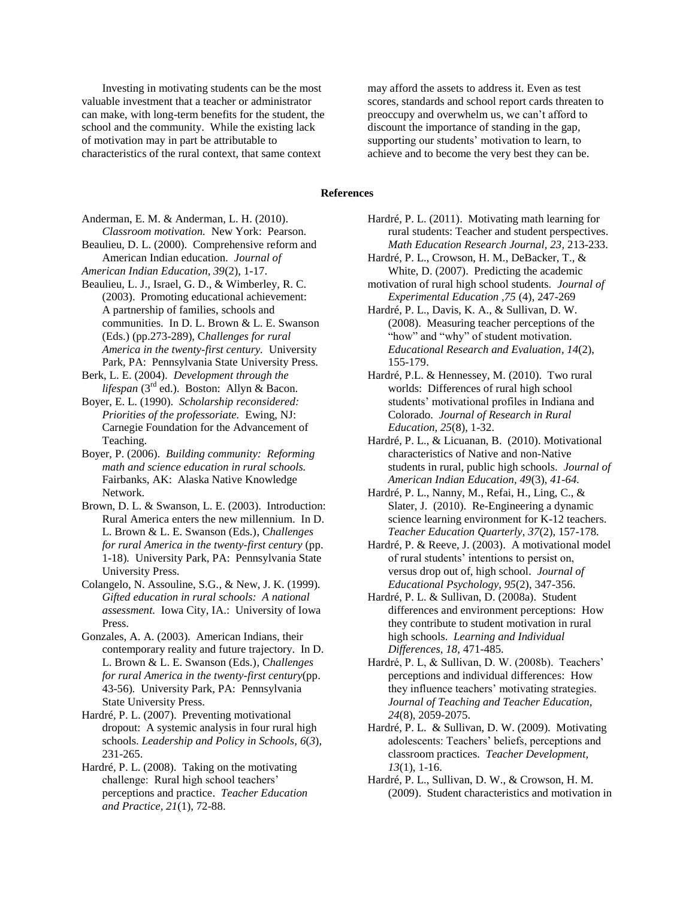Investing in motivating students can be the most valuable investment that a teacher or administrator can make, with long-term benefits for the student, the school and the community. While the existing lack of motivation may in part be attributable to characteristics of the rural context, that same context

may afford the assets to address it. Even as test scores, standards and school report cards threaten to preoccupy and overwhelm us, we can't afford to discount the importance of standing in the gap, supporting our students' motivation to learn, to achieve and to become the very best they can be.

#### **References**

Anderman, E. M. & Anderman, L. H. (2010). *Classroom motivation.* New York: Pearson.

Beaulieu, D. L. (2000). Comprehensive reform and American Indian education. *Journal of* 

*American Indian Education, 39*(2), 1-17.

Beaulieu, L. J., Israel, G. D., & Wimberley, R. C. (2003). Promoting educational achievement: A partnership of families, schools and communities. In D. L. Brown & L. E. Swanson (Eds.) (pp.273-289), C*hallenges for rural America in the twenty-first century.* University Park, PA: Pennsylvania State University Press.

Berk, L. E. (2004). *Development through the*  lifespan (3<sup>rd</sup> ed.). Boston: Allyn & Bacon.

Boyer, E. L. (1990). *Scholarship reconsidered: Priorities of the professoriate.* Ewing, NJ: Carnegie Foundation for the Advancement of Teaching.

Boyer, P. (2006). *Building community: Reforming math and science education in rural schools.*  Fairbanks, AK: Alaska Native Knowledge Network.

Brown, D. L. & Swanson, L. E. (2003). Introduction: Rural America enters the new millennium. In D. L. Brown & L. E. Swanson (Eds.), C*hallenges for rural America in the twenty-first century* (pp. 1-18)*.* University Park, PA: Pennsylvania State University Press.

Colangelo, N. Assouline, S.G., & New, J. K. (1999). *Gifted education in rural schools: A national assessment.* Iowa City, IA.: University of Iowa Press.

Gonzales, A. A. (2003). American Indians, their contemporary reality and future trajectory. In D. L. Brown & L. E. Swanson (Eds.), C*hallenges for rural America in the twenty-first century*(pp. 43-56)*.* University Park, PA: Pennsylvania State University Press.

Hardré, P. L. (2007). Preventing motivational dropout: A systemic analysis in four rural high schools. *Leadership and Policy in Schools, 6*(*3*), 231-265.

Hardré, P. L. (2008). Taking on the motivating challenge: Rural high school teachers' perceptions and practice. *Teacher Education and Practice, 21*(1), 72-88.

Hardré, P. L. (2011). Motivating math learning for rural students: Teacher and student perspectives. *Math Education Research Journal, 23,* 213-233.

Hardré, P. L., Crowson, H. M., DeBacker, T., & White, D. (2007). Predicting the academic

motivation of rural high school students. *Journal of Experimental Education ,75* (4), 247-269

Hardré, P. L., Davis, K. A., & Sullivan, D. W. (2008). Measuring teacher perceptions of the "how" and "why" of student motivation. *Educational Research and Evaluation, 14*(2), 155-179.

Hardré, P.L. & Hennessey, M. (2010). Two rural worlds: Differences of rural high school students' motivational profiles in Indiana and Colorado. *Journal of Research in Rural Education, 25*(8), 1-32.

Hardré, P. L., & Licuanan, B. (2010). Motivational characteristics of Native and non-Native students in rural, public high schools. *Journal of American Indian Education, 49*(3), *41-64.*

Hardré, P. L., Nanny, M., Refai, H., Ling, C., & Slater, J. (2010). Re-Engineering a dynamic science learning environment for K-12 teachers. *Teacher Education Quarterly, 37*(2), 157-178*.* 

Hardré, P. & Reeve, J. (2003). A motivational model of rural students' intentions to persist on, versus drop out of, high school. *Journal of Educational Psychology, 95*(2), 347-356.

Hardré, P. L. & Sullivan, D. (2008a). Student differences and environment perceptions: How they contribute to student motivation in rural high schools. *Learning and Individual Differences, 18,* 471-485.

Hardré, P. L, & Sullivan, D. W. (2008b). Teachers' perceptions and individual differences: How they influence teachers' motivating strategies. *Journal of Teaching and Teacher Education, 24*(8), 2059-2075.

Hardré, P. L. & Sullivan, D. W. (2009). Motivating adolescents: Teachers' beliefs, perceptions and classroom practices. *Teacher Development, 13*(1), 1-16.

Hardré, P. L., Sullivan, D. W., & Crowson, H. M. (2009). Student characteristics and motivation in